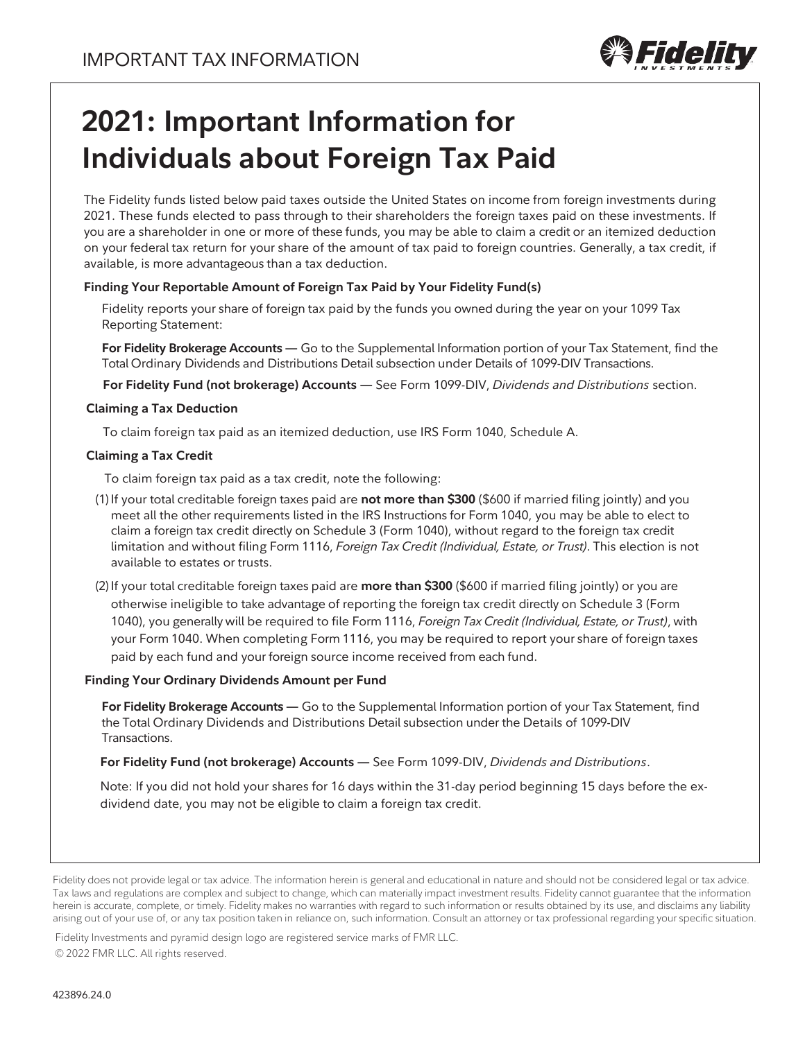

# **2021: Important Information for Individuals about Foreign Tax Paid**

The Fidelity funds listed below paid taxes outside the United States on income from foreign investments during 2021. These funds elected to pass through to their shareholders the foreign taxes paid on these investments. If you are a shareholder in one or more of these funds, you may be able to claim a credit or an itemized deduction on your federal tax return for your share of the amount of tax paid to foreign countries. Generally, a tax credit, if available, is more advantageous than a tax deduction.

#### **Finding Your Reportable Amount of Foreign Tax Paid by Your Fidelity Fund(s)**

Fidelity reports your share of foreign tax paid by the funds you owned during the year on your 1099 Tax Reporting Statement:

**For Fidelity Brokerage Accounts —** Go to the Supplemental Information portion of your Tax Statement, find the Total Ordinary Dividends and Distributions Detail subsection under Details of 1099-DIV Transactions.

**For Fidelity Fund (not brokerage) Accounts —** See Form 1099-DIV, *Dividends and Distributions* section.

#### **Claiming a Tax Deduction**

To claim foreign tax paid as an itemized deduction, use IRS Form 1040, Schedule A.

#### **Claiming a Tax Credit**

To claim foreign tax paid as a tax credit, note the following:

- (1)If your total creditable foreign taxes paid are **not more than \$300** (\$600 if married filing jointly) and you meet all the other requirements listed in the IRS Instructions for Form 1040, you may be able to elect to claim a foreign tax credit directly on Schedule 3 (Form 1040), without regard to the foreign tax credit limitation and without filing Form 1116, *Foreign Tax Credit (Individual, Estate, or Trust)*. This election is not available to estates or trusts.
- (2)If your total creditable foreign taxes paid are **more than \$300** (\$600 if married filing jointly) or you are otherwise ineligible to take advantage of reporting the foreign tax credit directly on Schedule 3 (Form 1040), you generally will be required to file Form 1116, *Foreign Tax Credit (Individual, Estate, or Trust)*, with your Form 1040. When completing Form 1116, you may be required to report your share of foreign taxes paid by each fund and your foreign source income received from each fund.

#### **Finding Your Ordinary Dividends Amount per Fund**

**For Fidelity Brokerage Accounts —** Go to the Supplemental Information portion of your Tax Statement, find the Total Ordinary Dividends and Distributions Detail subsection under the Details of 1099-DIV Transactions.

**For Fidelity Fund (not brokerage) Accounts —** See Form 1099-DIV, *Dividends and Distributions*.

Note: If you did not hold your shares for 16 days within the 31-day period beginning 15 days before the exdividend date, you may not be eligible to claim a foreign tax credit.

Fidelity does not provide legal or tax advice. The information herein is general and educational in nature and should not be considered legal or tax advice. Tax laws and regulations are complex and subject to change, which can materially impact investment results. Fidelity cannot guarantee that the information herein is accurate, complete, or timely. Fidelity makes no warranties with regard to such information or results obtained by its use, and disclaims any liability arising out of your use of, or any tax position taken in reliance on, such information. Consult an attorney or tax professional regarding your specific situation.

Fidelity Investments and pyramid design logo are registered service marks of FMR LLC.

© 2022 FMR LLC. All rights reserved.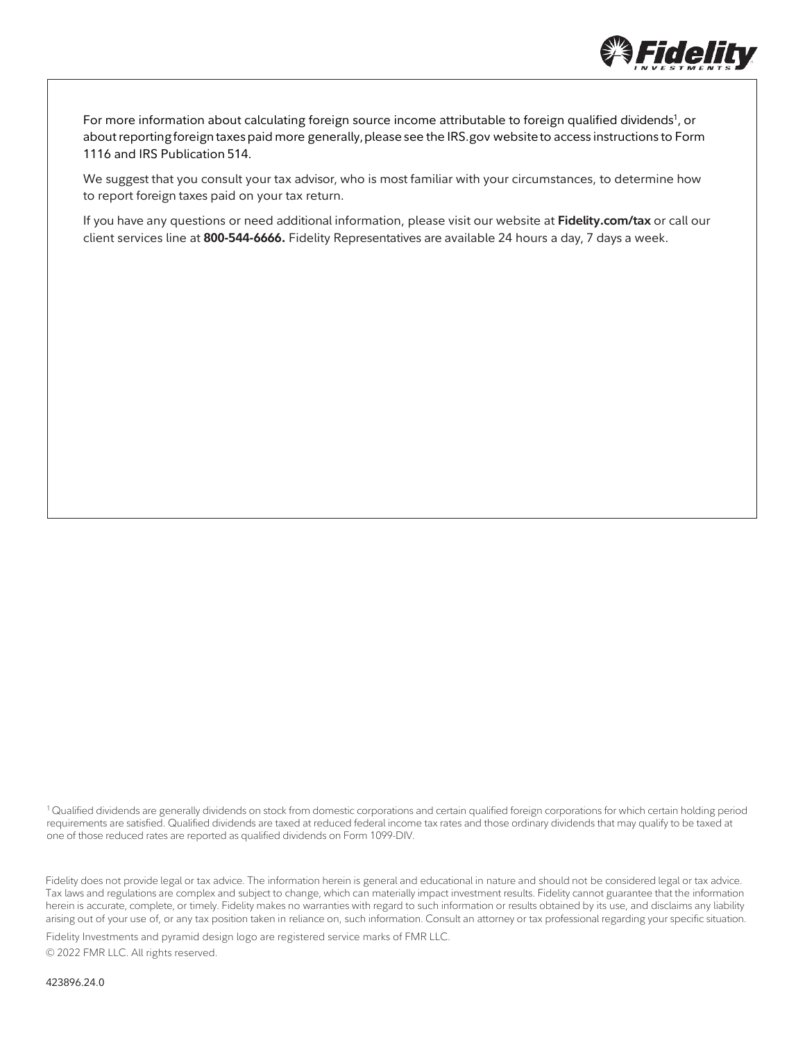

For more information about calculating foreign source income attributable to foreign qualified dividends<sup>1</sup>, or about reporting foreign taxes paid more generally, please see the IRS.gov website to access instructions to Form 1116 and IRS Publication 514.

We suggest that you consult your tax advisor, who is most familiar with your circumstances, to determine how to report foreign taxes paid on your tax return.

If you have any questions or need additional information, please visit our website at **Fidelity.com/tax** or call our client services line at **800-544-6666.** Fidelity Representatives are available 24 hours a day, 7 days a week.

<sup>1</sup>Qualified dividends are generally dividends on stock from domestic corporations and certain qualified foreign corporations for which certain holding period requirements are satisfied. Qualified dividends are taxed at reduced federal income tax rates and those ordinary dividends that may qualify to be taxed at one of those reduced rates are reported as qualified dividends on Form 1099-DIV.

Fidelity does not provide legal or tax advice. The information herein is general and educational in nature and should not be considered legal or tax advice. Tax laws and regulations are complex and subject to change, which can materially impact investment results. Fidelity cannot guarantee that the information herein is accurate, complete, or timely. Fidelity makes no warranties with regard to such information or results obtained by its use, and disclaims any liability arising out of your use of, or any tax position taken in reliance on, such information. Consult an attorney or tax professional regarding your specific situation.

Fidelity Investments and pyramid design logo are registered service marks of FMR LLC. © 2022 FMR LLC. All rights reserved.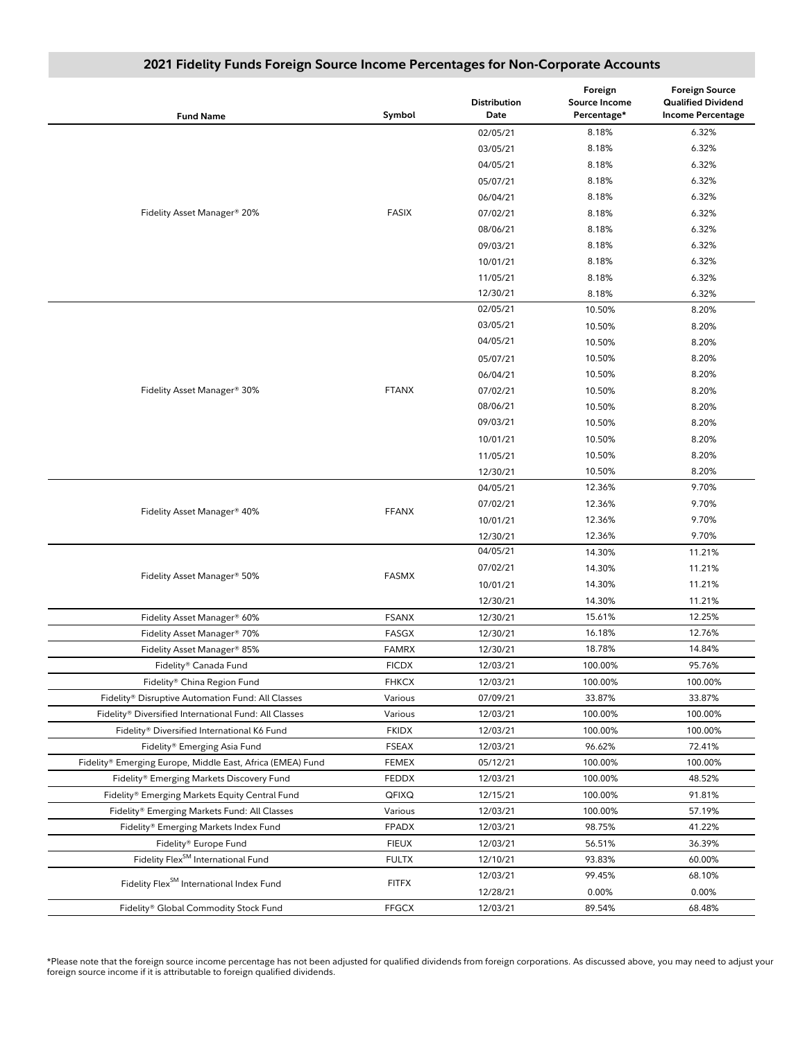| <b>Fund Name</b>                                           | Symbol       | Distribution<br>Date | Foreign<br>Source Income<br>Percentage* | <b>Foreign Source</b><br><b>Qualified Dividend</b><br><b>Income Percentage</b> |
|------------------------------------------------------------|--------------|----------------------|-----------------------------------------|--------------------------------------------------------------------------------|
|                                                            |              | 02/05/21             | 8.18%                                   | 6.32%                                                                          |
|                                                            |              | 03/05/21             | 8.18%                                   | 6.32%                                                                          |
|                                                            |              | 04/05/21             | 8.18%                                   | 6.32%                                                                          |
|                                                            |              | 05/07/21             | 8.18%                                   | 6.32%                                                                          |
|                                                            |              | 06/04/21             | 8.18%                                   | 6.32%                                                                          |
| Fidelity Asset Manager® 20%                                | <b>FASIX</b> | 07/02/21             | 8.18%                                   | 6.32%                                                                          |
|                                                            |              | 08/06/21             | 8.18%                                   | 6.32%                                                                          |
|                                                            |              | 09/03/21             | 8.18%                                   | 6.32%                                                                          |
|                                                            |              | 10/01/21             | 8.18%                                   | 6.32%                                                                          |
|                                                            |              | 11/05/21             | 8.18%                                   | 6.32%                                                                          |
|                                                            |              | 12/30/21             | 8.18%                                   | 6.32%                                                                          |
|                                                            |              | 02/05/21             | 10.50%                                  | 8.20%                                                                          |
|                                                            |              | 03/05/21             | 10.50%                                  | 8.20%                                                                          |
|                                                            |              | 04/05/21             | 10.50%                                  | 8.20%                                                                          |
|                                                            |              | 05/07/21             | 10.50%                                  | 8.20%                                                                          |
|                                                            |              | 06/04/21             | 10.50%                                  | 8.20%                                                                          |
| Fidelity Asset Manager® 30%                                | <b>FTANX</b> | 07/02/21             | 10.50%                                  | 8.20%                                                                          |
|                                                            |              | 08/06/21             | 10.50%                                  | 8.20%                                                                          |
|                                                            |              | 09/03/21             | 10.50%                                  | 8.20%                                                                          |
|                                                            |              | 10/01/21             | 10.50%                                  | 8.20%                                                                          |
|                                                            |              | 11/05/21             | 10.50%                                  | 8.20%                                                                          |
|                                                            |              | 12/30/21             | 10.50%                                  | 8.20%                                                                          |
|                                                            |              | 04/05/21             | 12.36%                                  | 9.70%                                                                          |
|                                                            |              | 07/02/21             | 12.36%                                  | 9.70%                                                                          |
| Fidelity Asset Manager® 40%                                | <b>FFANX</b> | 10/01/21             | 12.36%                                  | 9.70%                                                                          |
|                                                            |              | 12/30/21             | 12.36%                                  | 9.70%                                                                          |
|                                                            | <b>FASMX</b> | 04/05/21             | 14.30%                                  | 11.21%                                                                         |
|                                                            |              | 07/02/21             | 14.30%                                  | 11.21%                                                                         |
| Fidelity Asset Manager® 50%                                |              | 10/01/21             | 14.30%                                  | 11.21%                                                                         |
|                                                            |              | 12/30/21             | 14.30%                                  | 11.21%                                                                         |
| Fidelity Asset Manager® 60%                                | <b>FSANX</b> | 12/30/21             | 15.61%                                  | 12.25%                                                                         |
| Fidelity Asset Manager® 70%                                | <b>FASGX</b> | 12/30/21             | 16.18%                                  | 12.76%                                                                         |
| Fidelity Asset Manager® 85%                                | <b>FAMRX</b> | 12/30/21             | 18.78%                                  | 14.84%                                                                         |
| Fidelity® Canada Fund                                      | <b>FICDX</b> | 12/03/21             | 100.00%                                 | 95.76%                                                                         |
| Fidelity® China Region Fund                                | <b>FHKCX</b> | 12/03/21             | 100.00%                                 | 100.00%                                                                        |
| Fidelity® Disruptive Automation Fund: All Classes          | Various      | 07/09/21             | 33.87%                                  | 33.87%                                                                         |
| Fidelity® Diversified International Fund: All Classes      | Various      | 12/03/21             | 100.00%                                 | 100.00%                                                                        |
| Fidelity® Diversified International K6 Fund                | <b>FKIDX</b> | 12/03/21             | 100.00%                                 | 100.00%                                                                        |
| Fidelity® Emerging Asia Fund                               | <b>FSEAX</b> | 12/03/21             | 96.62%                                  | 72.41%                                                                         |
| Fidelity® Emerging Europe, Middle East, Africa (EMEA) Fund | <b>FEMEX</b> | 05/12/21             | 100.00%                                 | 100.00%                                                                        |
| Fidelity® Emerging Markets Discovery Fund                  | <b>FEDDX</b> | 12/03/21             | 100.00%                                 | 48.52%                                                                         |
| Fidelity® Emerging Markets Equity Central Fund             | QFIXQ        | 12/15/21             | 100.00%                                 | 91.81%                                                                         |
| Fidelity® Emerging Markets Fund: All Classes               | Various      | 12/03/21             | 100.00%                                 | 57.19%                                                                         |
| Fidelity® Emerging Markets Index Fund                      | <b>FPADX</b> | 12/03/21             | 98.75%                                  | 41.22%                                                                         |
| Fidelity® Europe Fund                                      | <b>FIEUX</b> | 12/03/21             | 56.51%                                  | 36.39%                                                                         |
| Fidelity Flex <sup>SM</sup> International Fund             | <b>FULTX</b> | 12/10/21             | 93.83%                                  | 60.00%                                                                         |
|                                                            |              | 12/03/21             | 99.45%                                  | 68.10%                                                                         |
| Fidelity Flex <sup>SM</sup> International Index Fund       | <b>FITFX</b> | 12/28/21             | 0.00%                                   | 0.00%                                                                          |
| Fidelity® Global Commodity Stock Fund                      | <b>FFGCX</b> | 12/03/21             | 89.54%                                  | 68.48%                                                                         |

## **2021 Fidelity Funds Foreign Source Income Percentages for Non-Corporate Accounts**

\*Please note that the foreign source income percentage has not been adjusted for qualified dividends from foreign corporations. As discussed above, you may need to adjust your foreign source income if it is attributable to foreign qualified dividends.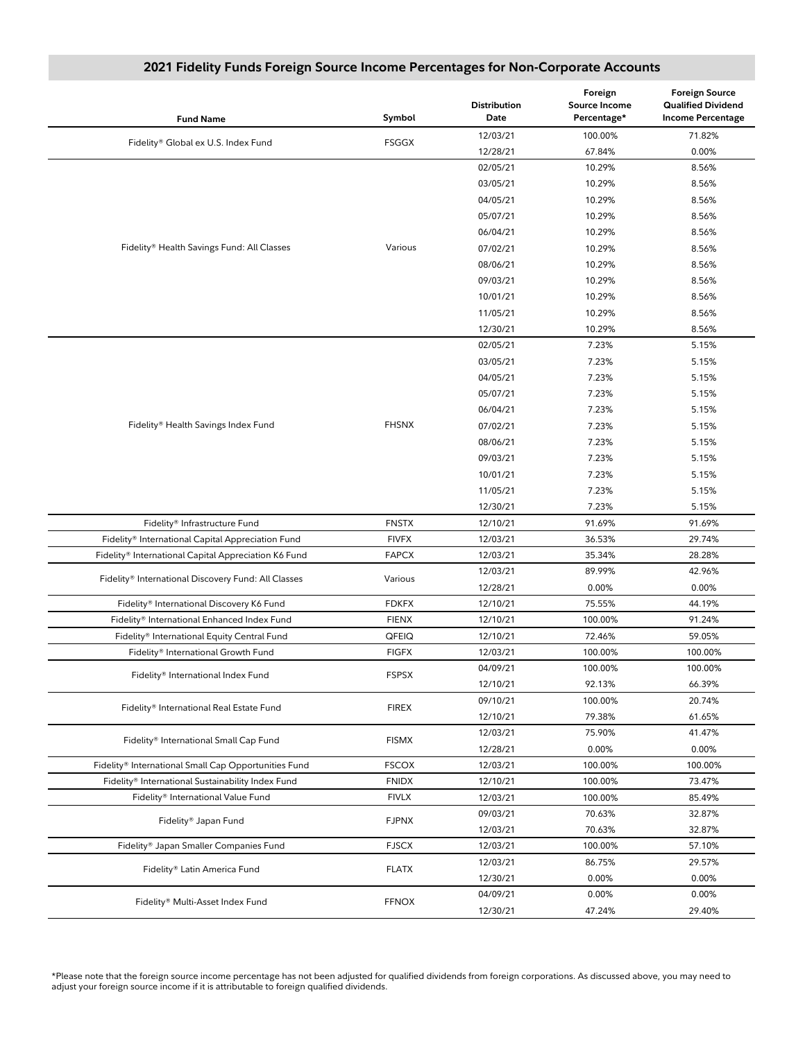| <b>Fund Name</b>                                     | Symbol       | <b>Distribution</b><br>Date | Foreign<br><b>Source Income</b><br>Percentage* | <b>Foreign Source</b><br><b>Qualified Dividend</b><br><b>Income Percentage</b> |
|------------------------------------------------------|--------------|-----------------------------|------------------------------------------------|--------------------------------------------------------------------------------|
|                                                      |              | 12/03/21                    | 100.00%                                        | 71.82%                                                                         |
| Fidelity® Global ex U.S. Index Fund                  | <b>FSGGX</b> | 12/28/21                    | 67.84%                                         | 0.00%                                                                          |
|                                                      |              | 02/05/21                    | 10.29%                                         | 8.56%                                                                          |
|                                                      |              | 03/05/21                    | 10.29%                                         | 8.56%                                                                          |
|                                                      |              | 04/05/21                    | 10.29%                                         | 8.56%                                                                          |
|                                                      |              | 05/07/21                    | 10.29%                                         | 8.56%                                                                          |
|                                                      |              | 06/04/21                    | 10.29%                                         | 8.56%                                                                          |
| Fidelity® Health Savings Fund: All Classes           | Various      | 07/02/21                    | 10.29%                                         | 8.56%                                                                          |
|                                                      |              | 08/06/21                    | 10.29%                                         | 8.56%                                                                          |
|                                                      |              | 09/03/21                    | 10.29%                                         | 8.56%                                                                          |
|                                                      |              | 10/01/21                    | 10.29%                                         | 8.56%                                                                          |
|                                                      |              | 11/05/21                    | 10.29%                                         | 8.56%                                                                          |
|                                                      |              | 12/30/21                    | 10.29%                                         | 8.56%                                                                          |
|                                                      |              | 02/05/21                    | 7.23%                                          | 5.15%                                                                          |
|                                                      |              | 03/05/21                    | 7.23%                                          | 5.15%                                                                          |
|                                                      |              | 04/05/21                    | 7.23%                                          | 5.15%                                                                          |
|                                                      |              | 05/07/21                    | 7.23%                                          | 5.15%                                                                          |
|                                                      |              | 06/04/21                    | 7.23%                                          | 5.15%                                                                          |
| Fidelity® Health Savings Index Fund                  | <b>FHSNX</b> | 07/02/21                    | 7.23%                                          | 5.15%                                                                          |
|                                                      |              | 08/06/21                    | 7.23%                                          | 5.15%                                                                          |
|                                                      |              | 09/03/21                    | 7.23%                                          | 5.15%                                                                          |
|                                                      |              | 10/01/21                    | 7.23%                                          | 5.15%                                                                          |
|                                                      |              | 11/05/21                    | 7.23%                                          | 5.15%                                                                          |
|                                                      |              | 12/30/21                    | 7.23%                                          | 5.15%                                                                          |
| Fidelity® Infrastructure Fund                        | <b>FNSTX</b> | 12/10/21                    | 91.69%                                         | 91.69%                                                                         |
| Fidelity® International Capital Appreciation Fund    | <b>FIVFX</b> | 12/03/21                    | 36.53%                                         | 29.74%                                                                         |
| Fidelity® International Capital Appreciation K6 Fund | <b>FAPCX</b> | 12/03/21                    | 35.34%                                         | 28.28%                                                                         |
| Fidelity® International Discovery Fund: All Classes  | Various      | 12/03/21                    | 89.99%                                         | 42.96%                                                                         |
|                                                      |              | 12/28/21                    | 0.00%                                          | 0.00%                                                                          |
| Fidelity® International Discovery K6 Fund            | <b>FDKFX</b> | 12/10/21                    | 75.55%                                         | 44.19%                                                                         |
| Fidelity® International Enhanced Index Fund          | <b>FIENX</b> | 12/10/21                    | 100.00%                                        | 91.24%                                                                         |
| Fidelity® International Equity Central Fund          | QFEIQ        | 12/10/21                    | 72.46%                                         | 59.05%                                                                         |
| Fidelity® International Growth Fund                  | <b>FIGFX</b> | 12/03/21                    | 100.00%                                        | 100.00%                                                                        |
| Fidelity® International Index Fund                   | <b>FSPSX</b> | 04/09/21                    | 100.00%                                        | 100.00%                                                                        |
|                                                      |              | 12/10/21                    | 92.13%                                         | 66.39%                                                                         |
| Fidelity® International Real Estate Fund             | <b>FIREX</b> | 09/10/21                    | 100.00%                                        | 20.74%                                                                         |
|                                                      |              | 12/10/21                    | 79.38%                                         | 61.65%                                                                         |
| Fidelity® International Small Cap Fund               | <b>FISMX</b> | 12/03/21                    | 75.90%                                         | 41.47%                                                                         |
|                                                      |              | 12/28/21                    | 0.00%                                          | 0.00%                                                                          |
| Fidelity® International Small Cap Opportunities Fund | <b>FSCOX</b> | 12/03/21                    | 100.00%                                        | 100.00%                                                                        |
| Fidelity® International Sustainability Index Fund    | <b>FNIDX</b> | 12/10/21                    | 100.00%                                        | 73.47%                                                                         |
| Fidelity® International Value Fund                   | <b>FIVLX</b> | 12/03/21                    | 100.00%                                        | 85.49%                                                                         |
| Fidelity® Japan Fund                                 | <b>FJPNX</b> | 09/03/21                    | 70.63%                                         | 32.87%                                                                         |
|                                                      |              | 12/03/21                    | 70.63%                                         | 32.87%                                                                         |
| Fidelity® Japan Smaller Companies Fund               | <b>FJSCX</b> | 12/03/21                    | 100.00%                                        | 57.10%                                                                         |
| Fidelity® Latin America Fund                         | <b>FLATX</b> | 12/03/21                    | 86.75%                                         | 29.57%                                                                         |
|                                                      |              | 12/30/21                    | 0.00%                                          | 0.00%                                                                          |
| Fidelity® Multi-Asset Index Fund                     | <b>FFNOX</b> |                             | 0.00%                                          | 0.00%                                                                          |
|                                                      |              | 04/09/21<br>12/30/21        | 47.24%                                         | 29.40%                                                                         |

#### **2021 Fidelity Funds Foreign Source Income Percentages for Non-Corporate Accounts**

\*Please note that the foreign source income percentage has not been adjusted for qualified dividends from foreign corporations. As discussed above, you may need to adjust your foreign source income if it is attributable to foreign qualified dividends.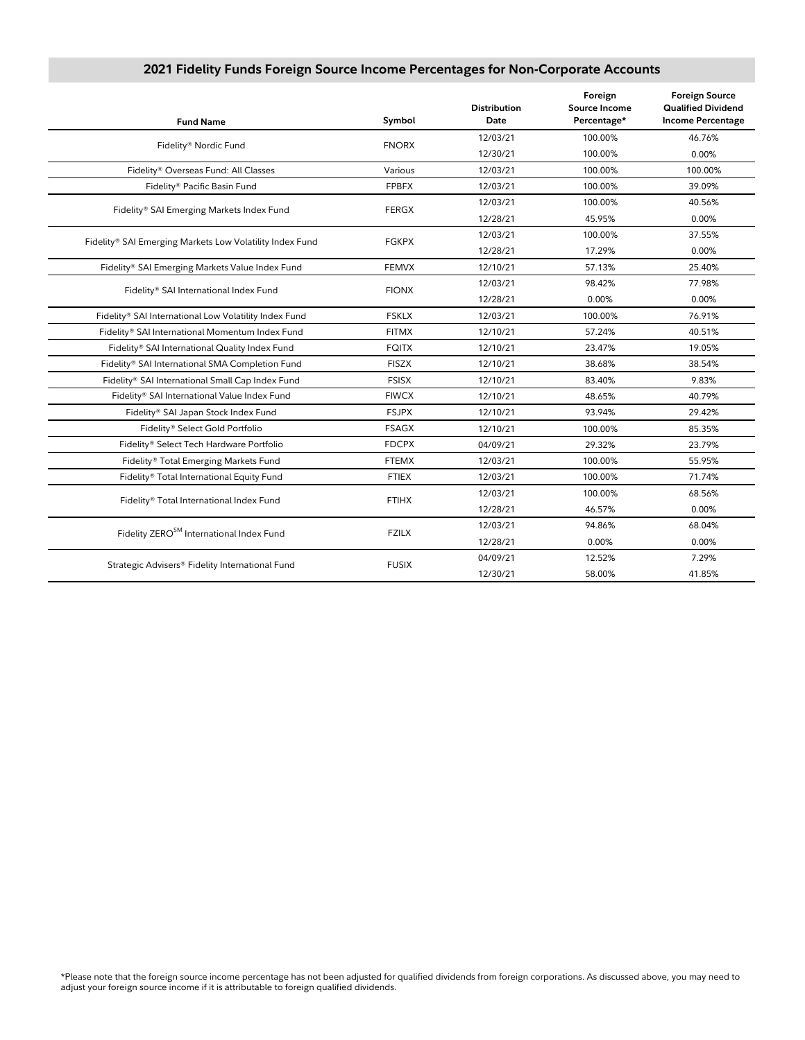| <b>Fund Name</b>                                         | Symbol       | <b>Distribution</b><br>Date | Foreign<br>Source Income<br>Percentage* | <b>Foreign Source</b><br><b>Qualified Dividend</b><br><b>Income Percentage</b> |
|----------------------------------------------------------|--------------|-----------------------------|-----------------------------------------|--------------------------------------------------------------------------------|
| Fidelity® Nordic Fund                                    | <b>FNORX</b> | 12/03/21                    | 100.00%                                 | 46.76%                                                                         |
|                                                          |              | 12/30/21                    | 100.00%                                 | 0.00%                                                                          |
| Fidelity® Overseas Fund: All Classes                     | Various      | 12/03/21                    | 100.00%                                 | 100.00%                                                                        |
| Fidelity® Pacific Basin Fund                             | <b>FPBFX</b> | 12/03/21                    | 100.00%                                 | 39.09%                                                                         |
|                                                          | <b>FERGX</b> | 12/03/21                    | 100.00%                                 | 40.56%                                                                         |
| Fidelity® SAI Emerging Markets Index Fund                |              | 12/28/21                    | 45.95%                                  | 0.00%                                                                          |
| Fidelity® SAI Emerging Markets Low Volatility Index Fund | <b>FGKPX</b> | 12/03/21                    | 100.00%                                 | 37.55%                                                                         |
|                                                          |              | 12/28/21                    | 17.29%                                  | 0.00%                                                                          |
| Fidelity® SAI Emerging Markets Value Index Fund          | <b>FEMVX</b> | 12/10/21                    | 57.13%                                  | 25.40%                                                                         |
|                                                          |              | 12/03/21                    | 98.42%                                  | 77.98%                                                                         |
| Fidelity® SAI International Index Fund                   | <b>FIONX</b> | 12/28/21                    | 0.00%                                   | 0.00%                                                                          |
| Fidelity® SAI International Low Volatility Index Fund    | <b>FSKLX</b> | 12/03/21                    | 100.00%                                 | 76.91%                                                                         |
| Fidelity® SAI International Momentum Index Fund          | <b>FITMX</b> | 12/10/21                    | 57.24%                                  | 40.51%                                                                         |
| Fidelity® SAI International Quality Index Fund           | <b>FQITX</b> | 12/10/21                    | 23.47%                                  | 19.05%                                                                         |
| Fidelity® SAI International SMA Completion Fund          | <b>FISZX</b> | 12/10/21                    | 38.68%                                  | 38.54%                                                                         |
| Fidelity® SAI International Small Cap Index Fund         | <b>FSISX</b> | 12/10/21                    | 83.40%                                  | 9.83%                                                                          |
| Fidelity® SAI International Value Index Fund             | <b>FIWCX</b> | 12/10/21                    | 48.65%                                  | 40.79%                                                                         |
| Fidelity® SAI Japan Stock Index Fund                     | <b>FSJPX</b> | 12/10/21                    | 93.94%                                  | 29.42%                                                                         |
| Fidelity® Select Gold Portfolio                          | <b>FSAGX</b> | 12/10/21                    | 100.00%                                 | 85.35%                                                                         |
| Fidelity® Select Tech Hardware Portfolio                 | <b>FDCPX</b> | 04/09/21                    | 29.32%                                  | 23.79%                                                                         |
| Fidelity® Total Emerging Markets Fund                    | <b>FTEMX</b> | 12/03/21                    | 100.00%                                 | 55.95%                                                                         |
| Fidelity® Total International Equity Fund                | <b>FTIEX</b> | 12/03/21                    | 100.00%                                 | 71.74%                                                                         |
|                                                          |              | 12/03/21                    | 100.00%                                 | 68.56%                                                                         |
| Fidelity® Total International Index Fund                 | <b>FTIHX</b> | 12/28/21                    | 46.57%                                  | 0.00%                                                                          |
|                                                          |              | 12/03/21                    | 94.86%                                  | 68.04%                                                                         |
| Fidelity ZERO <sup>SM</sup> International Index Fund     | <b>FZILX</b> | 12/28/21                    | 0.00%                                   | 0.00%                                                                          |
|                                                          | <b>FUSIX</b> | 04/09/21                    | 12.52%                                  | 7.29%                                                                          |
| Strategic Advisers® Fidelity International Fund          |              | 12/30/21                    | 58.00%                                  | 41.85%                                                                         |

# **2021 Fidelity Funds Foreign Source Income Percentages for Non-Corporate Accounts**